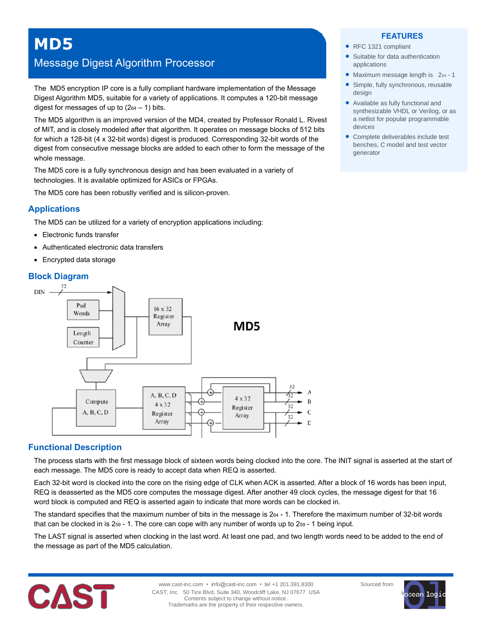# Message Digest Algorithm Processor

The MD5 encryption IP core is a fully compliant hardware implementation of the Message Digest Algorithm MD5, suitable for a variety of applications. It computes a 120-bit message digest for messages of up to  $(264 - 1)$  bits.

The MD5 algorithm is an improved version of the MD4, created by Professor Ronald L. Rivest of MIT, and is closely modeled after that algorithm. It operates on message blocks of 512 bits for which a 128-bit (4 x 32-bit words) digest is produced. Corresponding 32-bit words of the digest from consecutive message blocks are added to each other to form the message of the whole message.

The MD5 core is a fully synchronous design and has been evaluated in a variety of technologies. It is available optimized for ASICs or FPGAs.

The MD5 core has been robustly verified and is silicon-proven.

## **Applications**

The MD5 can be utilized for a variety of encryption applications including:

- Electronic funds transfer
- Authenticated electronic data transfers
- Encrypted data storage

## **Block Diagram**



## **Functional Description**

The process starts with the first message block of sixteen words being clocked into the core. The INIT signal is asserted at the start of each message. The MD5 core is ready to accept data when REQ is asserted.

Each 32-bit word is clocked into the core on the rising edge of CLK when ACK is asserted. After a block of 16 words has been input, REQ is deasserted as the MD5 core computes the message digest. After another 49 clock cycles, the message digest for that 16 word block is computed and REQ is asserted again to indicate that more words can be clocked in.

The standard specifies that the maximum number of bits in the message is 2<sup>64</sup> - 1. Therefore the maximum number of 32-bit words that can be clocked in is 2<sup>59</sup> - 1. The core can cope with any number of words up to 2<sup>59</sup> - 1 being input.

The LAST signal is asserted when clocking in the last word. At least one pad, and two length words need to be added to the end of the message as part of the MD5 calculation.



#### **FEATURES**

- RFC 1321 compliant
- Suitable for data authentication applications
- Maximum message length is 264 1
- Simple, fully synchronous, reusable design
- Available as fully functional and synthesizable VHDL or Verilog, or as a netlist for popular programmable devices
- Complete deliverables include test benches, C model and test vector generator